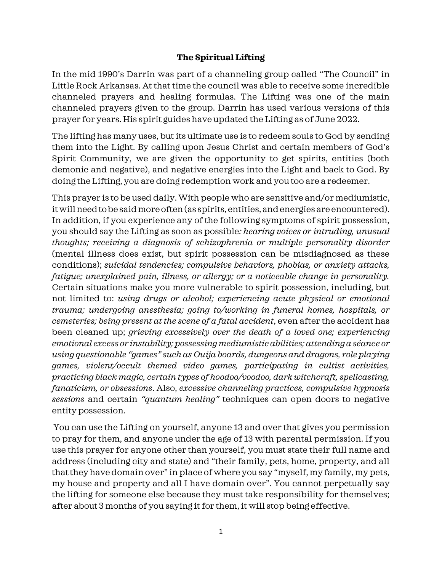## **The Spiritual Lifting**

In the mid 1990's Darrin was part of a channeling group called "The Council" in Little Rock Arkansas. At that time the council was able to receive some incredible channeled prayers and healing formulas. The Lifting was one of the main channeled prayers given to the group. Darrin has used various versions of this prayer for years. His spirit guides have updated the Lifting as of June 2022.

The lifting has many uses, but its ultimate use is to redeem souls to God by sending them into the Light. By calling upon Jesus Christ and certain members of God's Spirit Community, we are given the opportunity to get spirits, entities (both demonic and negative), and negative energies into the Light and back to God. By doing the Lifting, you are doing redemption work and you too are a redeemer.

This prayer is to be used daily. With people who are sensitive and/or mediumistic, it will need to be said more often (as spirits, entities, and energies are encountered). In addition, if you experience any of the following symptoms of spirit possession, you should say the Lifting as soon as possible*: hearing voices or intruding, unusual thoughts; receiving a diagnosis of schizophrenia or multiple personality disorder* (mental illness does exist, but spirit possession can be misdiagnosed as these conditions); *suicidal tendencies; compulsive behaviors, phobias, or anxiety attacks, fatigue; unexplained pain, illness, or allergy; or a noticeable change in personality.* Certain situations make you more vulnerable to spirit possession, including, but not limited to: *using drugs or alcohol; experiencing acute physical or emotional trauma; undergoing anesthesia; going to/working in funeral homes, hospitals, or cemeteries; being present at the scene of a fatal accident*, even after the accident has been cleaned up; *grieving excessively over the death of a loved one; experiencing emotional excess or instability; possessing mediumistic abilities; attending a séance or using questionable "games" such as Ouija boards, dungeons and dragons, role playing games, violent/occult themed video games, participating in cultist activities, practicing black magic, certain types of hoodoo/voodoo, dark witchcraft, spellcasting, fanaticism, or obsessions*. Also, *excessive channeling practices, compulsive hypnosis sessions* and certain *"quantum healing"* techniques can open doors to negative entity possession.

You can use the Lifting on yourself, anyone 13 and over that gives you permission to pray for them, and anyone under the age of 13 with parental permission. If you use this prayer for anyone other than yourself, you must state their full name and address (including city and state) and "their family, pets, home, property, and all that they have domain over" in place of where you say "myself, my family, my pets, my house and property and all I have domain over". You cannot perpetually say the lifting for someone else because they must take responsibility for themselves; after about 3 months of you saying it for them, it will stop being effective.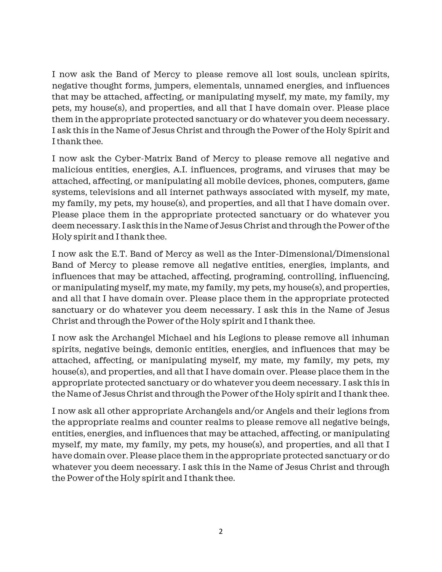I now ask the Band of Mercy to please remove all lost souls, unclean spirits, negative thought forms, jumpers, elementals, unnamed energies, and influences that may be attached, affecting, or manipulating myself, my mate, my family, my pets, my house(s), and properties, and all that I have domain over. Please place them in the appropriate protected sanctuary or do whatever you deem necessary. I ask this in the Name of Jesus Christ and through the Power of the Holy Spirit and I thank thee.

I now ask the Cyber-Matrix Band of Mercy to please remove all negative and malicious entities, energies, A.I. influences, programs, and viruses that may be attached, affecting, or manipulating all mobile devices, phones, computers, game systems, televisions and all internet pathways associated with myself, my mate, my family, my pets, my house(s), and properties, and all that I have domain over. Please place them in the appropriate protected sanctuary or do whatever you deem necessary. I ask this in the Name of Jesus Christ and through the Power of the Holy spirit and I thank thee.

I now ask the E.T. Band of Mercy as well as the Inter-Dimensional/Dimensional Band of Mercy to please remove all negative entities, energies, implants, and influences that may be attached, affecting, programing, controlling, influencing, or manipulating myself, my mate, my family, my pets, my house(s), and properties, and all that I have domain over. Please place them in the appropriate protected sanctuary or do whatever you deem necessary. I ask this in the Name of Jesus Christ and through the Power of the Holy spirit and I thank thee.

I now ask the Archangel Michael and his Legions to please remove all inhuman spirits, negative beings, demonic entities, energies, and influences that may be attached, affecting, or manipulating myself, my mate, my family, my pets, my house(s), and properties, and all that I have domain over. Please place them in the appropriate protected sanctuary or do whatever you deem necessary. I ask this in the Name of Jesus Christ and through the Power of the Holy spirit and I thank thee.

I now ask all other appropriate Archangels and/or Angels and their legions from the appropriate realms and counter realms to please remove all negative beings, entities, energies, and influences that may be attached, affecting, or manipulating myself, my mate, my family, my pets, my house(s), and properties, and all that I have domain over. Please place them in the appropriate protected sanctuary or do whatever you deem necessary. I ask this in the Name of Jesus Christ and through the Power of the Holy spirit and I thank thee.